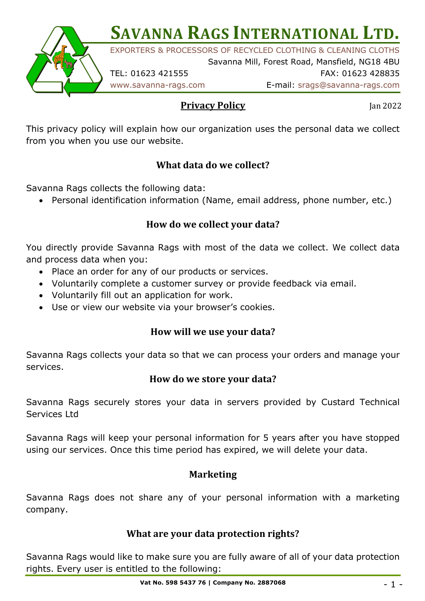**SAVANNA RAGS INTERNATIONAL LTD.** 

EXPORTERS & PROCESSORS OF RECYCLED CLOTHING & CLEANING CLOTHS Savanna Mill, Forest Road, Mansfield, NG18 4BU

TEL: 01623 421555 FAX: 01623 428835

www.savanna-rags.com E-mail: srags@savanna-rags.com

**Privacy Policy**

Jan 2022

This privacy policy will explain how our organization uses the personal data we collect from you when you use our website.

# **What data do we collect?**

Savanna Rags collects the following data:

• Personal identification information (Name, email address, phone number, etc.)

## How do we collect your data?

You directly provide Savanna Rags with most of the data we collect. We collect data and process data when you:

- Place an order for any of our products or services.
- Voluntarily complete a customer survey or provide feedback via email.
- Voluntarily fill out an application for work.
- Use or view our website via your browser's cookies.

## **How will we use your data?**

Savanna Rags collects your data so that we can process your orders and manage your services.

## How do we store your data?

Savanna Rags securely stores your data in servers provided by Custard Technical Services Ltd

Savanna Rags will keep your personal information for 5 years after you have stopped using our services. Once this time period has expired, we will delete your data.

## **Marketing**

Savanna Rags does not share any of your personal information with a marketing company.

## **What are your data protection rights?**

Savanna Rags would like to make sure you are fully aware of all of your data protection rights. Every user is entitled to the following: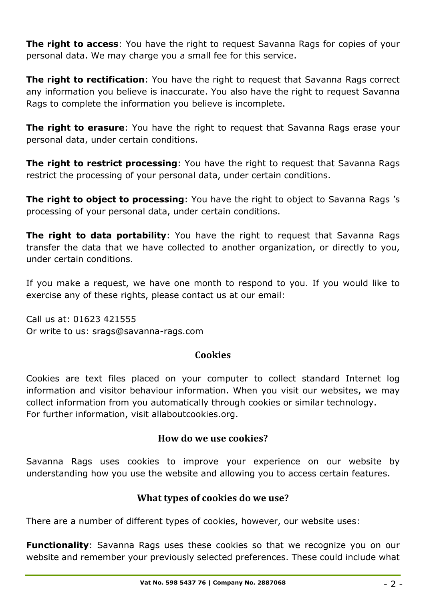**The right to access**: You have the right to request Savanna Rags for copies of your personal data. We may charge you a small fee for this service.

**The right to rectification**: You have the right to request that Savanna Rags correct any information you believe is inaccurate. You also have the right to request Savanna Rags to complete the information you believe is incomplete.

**The right to erasure**: You have the right to request that Savanna Rags erase your personal data, under certain conditions.

**The right to restrict processing**: You have the right to request that Savanna Rags restrict the processing of your personal data, under certain conditions.

**The right to object to processing**: You have the right to object to Savanna Rags's processing of your personal data, under certain conditions.

**The right to data portability**: You have the right to request that Savanna Rags transfer the data that we have collected to another organization, or directly to you, under certain conditions.

If you make a request, we have one month to respond to you. If you would like to exercise any of these rights, please contact us at our email:

Call us at: 01623 421555 Or write to us: srags@savanna-rags.com

## **Cookies**

Cookies are text files placed on your computer to collect standard Internet log information and visitor behaviour information. When you visit our websites, we may collect information from you automatically through cookies or similar technology. For further information, visit allaboutcookies.org.

## **How do we use cookies?**

Savanna Rags uses cookies to improve your experience on our website by understanding how you use the website and allowing you to access certain features.

## **What types of cookies do we use?**

There are a number of different types of cookies, however, our website uses:

**Functionality**: Savanna Rags uses these cookies so that we recognize you on our website and remember your previously selected preferences. These could include what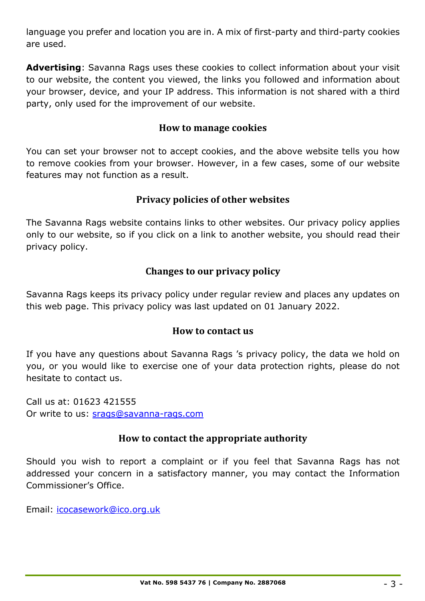language you prefer and location you are in. A mix of first-party and third-party cookies are used.

**Advertising**: Savanna Rags uses these cookies to collect information about your visit to our website, the content you viewed, the links you followed and information about your browser, device, and your IP address. This information is not shared with a third party, only used for the improvement of our website.

#### **How to manage cookies**

You can set your browser not to accept cookies, and the above website tells you how to remove cookies from your browser. However, in a few cases, some of our website features may not function as a result.

#### **Privacy policies of other websites**

The Savanna Rags website contains links to other websites. Our privacy policy applies only to our website, so if you click on a link to another website, you should read their privacy policy.

#### **Changes to our privacy policy**

Savanna Rags keeps its privacy policy under regular review and places any updates on this web page. This privacy policy was last updated on 01 January 2022.

#### **How to contact us**

If you have any questions about Savanna Rags 's privacy policy, the data we hold on you, or you would like to exercise one of your data protection rights, please do not hesitate to contact us.

Call us at: 01623 421555 Or write to us: srags@savanna-rags.com

#### **How to contact the appropriate authority**

Should you wish to report a complaint or if you feel that Savanna Rags has not addressed your concern in a satisfactory manner, you may contact the Information Commissioner's Office.

Email: icocasework@ico.org.uk